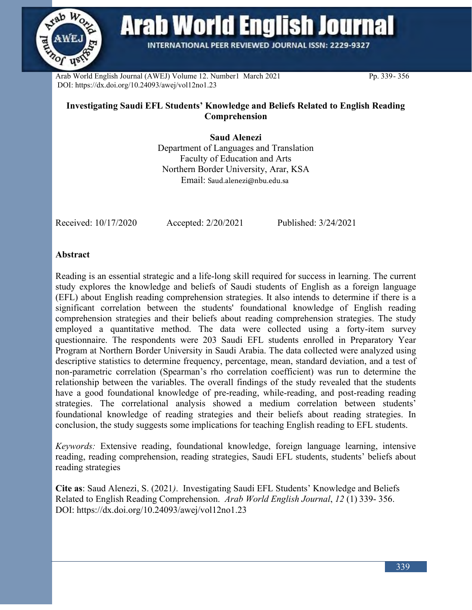

**Arab World English Journal** 

**INTERNATIONAL PEER REVIEWED JOURNAL ISSN: 2229-9327** 

Arab World English Journal (AWEJ) Volume 12. Number1 March 2021 Pp. 339-356 DOI: https://dx.doi.org/10.24093/awej/vol12no1.23

# **Investigating Saudi EFL Students' Knowledge and Beliefs Related to English Reading Comprehension**

**Saud Alenezi** 

Department of Languages and Translation Faculty of Education and Arts Northern Border University, Arar, KSA Email: Saud.alenezi@nbu.edu.sa

Received: 10/17/2020 Accepted: 2/20/2021 Published: 3/24/2021

## **Abstract**

Reading is an essential strategic and a life-long skill required for success in learning. The current study explores the knowledge and beliefs of Saudi students of English as a foreign language (EFL) about English reading comprehension strategies. It also intends to determine if there is a significant correlation between the students' foundational knowledge of English reading comprehension strategies and their beliefs about reading comprehension strategies. The study employed a quantitative method. The data were collected using a forty-item survey questionnaire. The respondents were 203 Saudi EFL students enrolled in Preparatory Year Program at Northern Border University in Saudi Arabia. The data collected were analyzed using descriptive statistics to determine frequency, percentage, mean, standard deviation, and a test of non-parametric correlation (Spearman's rho correlation coefficient) was run to determine the relationship between the variables. The overall findings of the study revealed that the students have a good foundational knowledge of pre-reading, while-reading, and post-reading reading strategies. The correlational analysis showed a medium correlation between students' foundational knowledge of reading strategies and their beliefs about reading strategies. In conclusion, the study suggests some implications for teaching English reading to EFL students.

*Keywords:* Extensive reading, foundational knowledge, foreign language learning, intensive reading, reading comprehension, reading strategies, Saudi EFL students, students' beliefs about reading strategies

**Cite as**: Saud Alenezi, S. (2021*)*. Investigating Saudi EFL Students' Knowledge and Beliefs Related to English Reading Comprehension. *Arab World English Journal*, *12* (1) 339- 356. DOI: https://dx.doi.org/10.24093/awej/vol12no1.23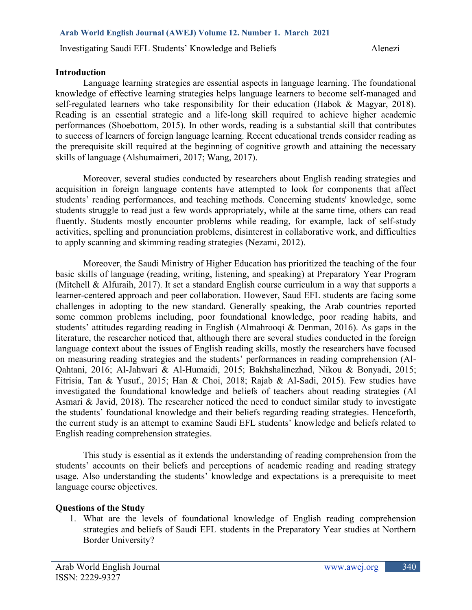### **Introduction**

Language learning strategies are essential aspects in language learning. The foundational knowledge of effective learning strategies helps language learners to become self-managed and self-regulated learners who take responsibility for their education (Habok & Magyar, 2018). Reading is an essential strategic and a life-long skill required to achieve higher academic performances (Shoebottom, 2015). In other words, reading is a substantial skill that contributes to success of learners of foreign language learning. Recent educational trends consider reading as the prerequisite skill required at the beginning of cognitive growth and attaining the necessary skills of language (Alshumaimeri, 2017; Wang, 2017).

Moreover, several studies conducted by researchers about English reading strategies and acquisition in foreign language contents have attempted to look for components that affect students' reading performances, and teaching methods. Concerning students' knowledge, some students struggle to read just a few words appropriately, while at the same time, others can read fluently. Students mostly encounter problems while reading, for example, lack of self-study activities, spelling and pronunciation problems, disinterest in collaborative work, and difficulties to apply scanning and skimming reading strategies (Nezami, 2012).

Moreover, the Saudi Ministry of Higher Education has prioritized the teaching of the four basic skills of language (reading, writing, listening, and speaking) at Preparatory Year Program (Mitchell & Alfuraih, 2017). It set a standard English course curriculum in a way that supports a learner-centered approach and peer collaboration. However, Saud EFL students are facing some challenges in adopting to the new standard. Generally speaking, the Arab countries reported some common problems including, poor foundational knowledge, poor reading habits, and students' attitudes regarding reading in English (Almahrooqi & Denman, 2016). As gaps in the literature, the researcher noticed that, although there are several studies conducted in the foreign language context about the issues of English reading skills, mostly the researchers have focused on measuring reading strategies and the students' performances in reading comprehension (Al-Qahtani, 2016; Al-Jahwari & Al-Humaidi, 2015; Bakhshalinezhad, Nikou & Bonyadi, 2015; Fitrisia, Tan & Yusuf., 2015; Han & Choi, 2018; Rajab & Al-Sadi, 2015). Few studies have investigated the foundational knowledge and beliefs of teachers about reading strategies (Al Asmari & Javid, 2018). The researcher noticed the need to conduct similar study to investigate the students' foundational knowledge and their beliefs regarding reading strategies. Henceforth, the current study is an attempt to examine Saudi EFL students' knowledge and beliefs related to English reading comprehension strategies.

This study is essential as it extends the understanding of reading comprehension from the students' accounts on their beliefs and perceptions of academic reading and reading strategy usage. Also understanding the students' knowledge and expectations is a prerequisite to meet language course objectives.

## **Questions of the Study**

1. What are the levels of foundational knowledge of English reading comprehension strategies and beliefs of Saudi EFL students in the Preparatory Year studies at Northern Border University?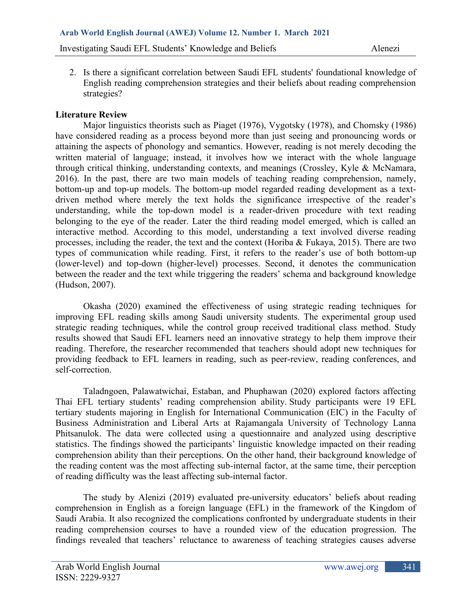2. Is there a significant correlation between Saudi EFL students' foundational knowledge of English reading comprehension strategies and their beliefs about reading comprehension strategies?

### **Literature Review**

Major linguistics theorists such as Piaget (1976), Vygotsky (1978), and Chomsky (1986) have considered reading as a process beyond more than just seeing and pronouncing words or attaining the aspects of phonology and semantics. However, reading is not merely decoding the written material of language; instead, it involves how we interact with the whole language through critical thinking, understanding contexts, and meanings (Crossley, Kyle & McNamara, 2016). In the past, there are two main models of teaching reading comprehension, namely, bottom-up and top-up models. The bottom-up model regarded reading development as a textdriven method where merely the text holds the significance irrespective of the reader's understanding, while the top-down model is a reader-driven procedure with text reading belonging to the eye of the reader. Later the third reading model emerged, which is called an interactive method. According to this model, understanding a text involved diverse reading processes, including the reader, the text and the context (Horiba & Fukaya, 2015). There are two types of communication while reading. First, it refers to the reader's use of both bottom-up (lower-level) and top-down (higher-level) processes. Second, it denotes the communication between the reader and the text while triggering the readers' schema and background knowledge (Hudson, 2007).

Okasha (2020) examined the effectiveness of using strategic reading techniques for improving EFL reading skills among Saudi university students. The experimental group used strategic reading techniques, while the control group received traditional class method. Study results showed that Saudi EFL learners need an innovative strategy to help them improve their reading. Therefore, the researcher recommended that teachers should adopt new techniques for providing feedback to EFL learners in reading, such as peer-review, reading conferences, and self-correction.

Taladngoen, Palawatwichai, Estaban, and Phuphawan (2020) explored factors affecting Thai EFL tertiary students' reading comprehension ability. Study participants were 19 EFL tertiary students majoring in English for International Communication (EIC) in the Faculty of Business Administration and Liberal Arts at Rajamangala University of Technology Lanna Phitsanulok. The data were collected using a questionnaire and analyzed using descriptive statistics. The findings showed the participants' linguistic knowledge impacted on their reading comprehension ability than their perceptions. On the other hand, their background knowledge of the reading content was the most affecting sub-internal factor, at the same time, their perception of reading difficulty was the least affecting sub-internal factor.

The study by Alenizi (2019) evaluated pre-university educators' beliefs about reading comprehension in English as a foreign language (EFL) in the framework of the Kingdom of Saudi Arabia. It also recognized the complications confronted by undergraduate students in their reading comprehension courses to have a rounded view of the education progression. The findings revealed that teachers' reluctance to awareness of teaching strategies causes adverse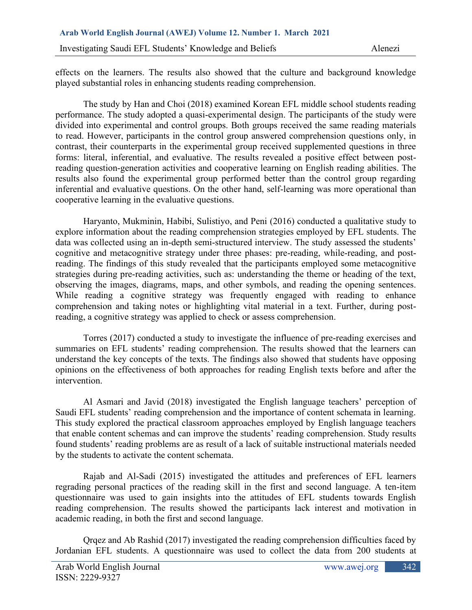effects on the learners. The results also showed that the culture and background knowledge played substantial roles in enhancing students reading comprehension.

The study by Han and Choi (2018) examined Korean EFL middle school students reading performance. The study adopted a quasi-experimental design. The participants of the study were divided into experimental and control groups. Both groups received the same reading materials to read. However, participants in the control group answered comprehension questions only, in contrast, their counterparts in the experimental group received supplemented questions in three forms: literal, inferential, and evaluative. The results revealed a positive effect between postreading question-generation activities and cooperative learning on English reading abilities. The results also found the experimental group performed better than the control group regarding inferential and evaluative questions. On the other hand, self-learning was more operational than cooperative learning in the evaluative questions.

Haryanto, Mukminin, Habibi, Sulistiyo, and Peni (2016) conducted a qualitative study to explore information about the reading comprehension strategies employed by EFL students. The data was collected using an in-depth semi-structured interview. The study assessed the students' cognitive and metacognitive strategy under three phases: pre-reading, while-reading, and postreading. The findings of this study revealed that the participants employed some metacognitive strategies during pre-reading activities, such as: understanding the theme or heading of the text, observing the images, diagrams, maps, and other symbols, and reading the opening sentences. While reading a cognitive strategy was frequently engaged with reading to enhance comprehension and taking notes or highlighting vital material in a text. Further, during postreading, a cognitive strategy was applied to check or assess comprehension.

Torres (2017) conducted a study to investigate the influence of pre-reading exercises and summaries on EFL students' reading comprehension. The results showed that the learners can understand the key concepts of the texts. The findings also showed that students have opposing opinions on the effectiveness of both approaches for reading English texts before and after the intervention.

Al Asmari and Javid (2018) investigated the English language teachers' perception of Saudi EFL students' reading comprehension and the importance of content schemata in learning. This study explored the practical classroom approaches employed by English language teachers that enable content schemas and can improve the students' reading comprehension. Study results found students' reading problems are as result of a lack of suitable instructional materials needed by the students to activate the content schemata.

Rajab and Al-Sadi (2015) investigated the attitudes and preferences of EFL learners regrading personal practices of the reading skill in the first and second language. A ten-item questionnaire was used to gain insights into the attitudes of EFL students towards English reading comprehension. The results showed the participants lack interest and motivation in academic reading, in both the first and second language.

Qrqez and Ab Rashid (2017) investigated the reading comprehension difficulties faced by Jordanian EFL students. A questionnaire was used to collect the data from 200 students at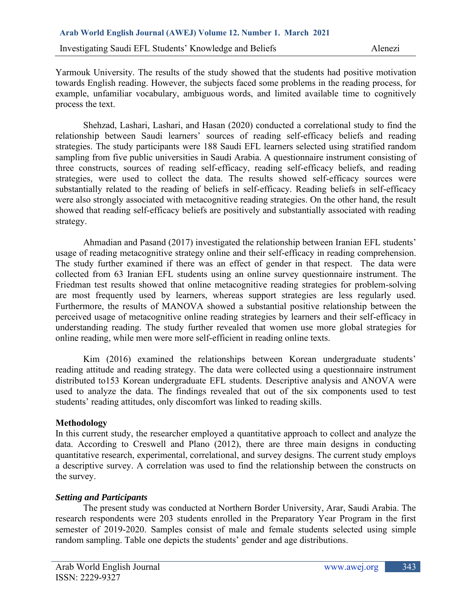Yarmouk University. The results of the study showed that the students had positive motivation towards English reading. However, the subjects faced some problems in the reading process, for example, unfamiliar vocabulary, ambiguous words, and limited available time to cognitively process the text.

Shehzad, Lashari, Lashari, and Hasan (2020) conducted a correlational study to find the relationship between Saudi learners' sources of reading self-efficacy beliefs and reading strategies. The study participants were 188 Saudi EFL learners selected using stratified random sampling from five public universities in Saudi Arabia. A questionnaire instrument consisting of three constructs, sources of reading self-efficacy, reading self-efficacy beliefs, and reading strategies, were used to collect the data. The results showed self-efficacy sources were substantially related to the reading of beliefs in self-efficacy. Reading beliefs in self-efficacy were also strongly associated with metacognitive reading strategies. On the other hand, the result showed that reading self-efficacy beliefs are positively and substantially associated with reading strategy.

Ahmadian and Pasand (2017) investigated the relationship between Iranian EFL students' usage of reading metacognitive strategy online and their self-efficacy in reading comprehension. The study further examined if there was an effect of gender in that respect. The data were collected from 63 Iranian EFL students using an online survey questionnaire instrument. The Friedman test results showed that online metacognitive reading strategies for problem-solving are most frequently used by learners, whereas support strategies are less regularly used. Furthermore, the results of MANOVA showed a substantial positive relationship between the perceived usage of metacognitive online reading strategies by learners and their self-efficacy in understanding reading. The study further revealed that women use more global strategies for online reading, while men were more self-efficient in reading online texts.

Kim (2016) examined the relationships between Korean undergraduate students' reading attitude and reading strategy. The data were collected using a questionnaire instrument distributed to153 Korean undergraduate EFL students. Descriptive analysis and ANOVA were used to analyze the data. The findings revealed that out of the six components used to test students' reading attitudes, only discomfort was linked to reading skills.

## **Methodology**

In this current study, the researcher employed a quantitative approach to collect and analyze the data. According to Creswell and Plano (2012), there are three main designs in conducting quantitative research, experimental, correlational, and survey designs. The current study employs a descriptive survey. A correlation was used to find the relationship between the constructs on the survey.

### *Setting and Participants*

The present study was conducted at Northern Border University, Arar, Saudi Arabia. The research respondents were 203 students enrolled in the Preparatory Year Program in the first semester of 2019-2020. Samples consist of male and female students selected using simple random sampling. Table one depicts the students' gender and age distributions.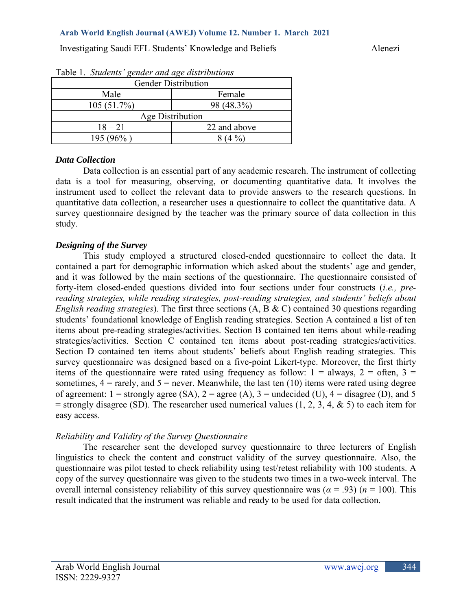| <b>Gender Distribution</b> |                  |  |  |  |  |  |
|----------------------------|------------------|--|--|--|--|--|
| Male                       | Female           |  |  |  |  |  |
| 105(51.7%)                 | 98 (48.3%)       |  |  |  |  |  |
|                            | Age Distribution |  |  |  |  |  |
| $18 - 21$                  | 22 and above     |  |  |  |  |  |
| 195 (96%)                  |                  |  |  |  |  |  |

#### Table 1. *Students' gender and age distributions*

#### *Data Collection*

Data collection is an essential part of any academic research. The instrument of collecting data is a tool for measuring, observing, or documenting quantitative data. It involves the instrument used to collect the relevant data to provide answers to the research questions. In quantitative data collection, a researcher uses a questionnaire to collect the quantitative data. A survey questionnaire designed by the teacher was the primary source of data collection in this study.

### *Designing of the Survey*

This study employed a structured closed-ended questionnaire to collect the data. It contained a part for demographic information which asked about the students' age and gender, and it was followed by the main sections of the questionnaire. The questionnaire consisted of forty-item closed-ended questions divided into four sections under four constructs (*i.e., prereading strategies, while reading strategies, post-reading strategies, and students' beliefs about English reading strategies*). The first three sections (A, B & C) contained 30 questions regarding students' foundational knowledge of English reading strategies. Section A contained a list of ten items about pre-reading strategies/activities. Section B contained ten items about while-reading strategies/activities. Section C contained ten items about post-reading strategies/activities. Section D contained ten items about students' beliefs about English reading strategies. This survey questionnaire was designed based on a five-point Likert-type. Moreover, the first thirty items of the questionnaire were rated using frequency as follow:  $1 =$  always,  $2 =$  often,  $3 =$ sometimes,  $4 = \text{rarely}$ , and  $5 = \text{never}$ . Meanwhile, the last ten (10) items were rated using degree of agreement:  $1 =$  strongly agree (SA),  $2 =$  agree (A),  $3 =$  undecided (U),  $4 =$  disagree (D), and 5  $=$  strongly disagree (SD). The researcher used numerical values (1, 2, 3, 4, & 5) to each item for easy access.

### *Reliability and Validity of the Survey Questionnaire*

The researcher sent the developed survey questionnaire to three lecturers of English linguistics to check the content and construct validity of the survey questionnaire. Also, the questionnaire was pilot tested to check reliability using test/retest reliability with 100 students. A copy of the survey questionnaire was given to the students two times in a two-week interval. The overall internal consistency reliability of this survey questionnaire was ( $\alpha$  = .93) ( $n$  = 100). This result indicated that the instrument was reliable and ready to be used for data collection.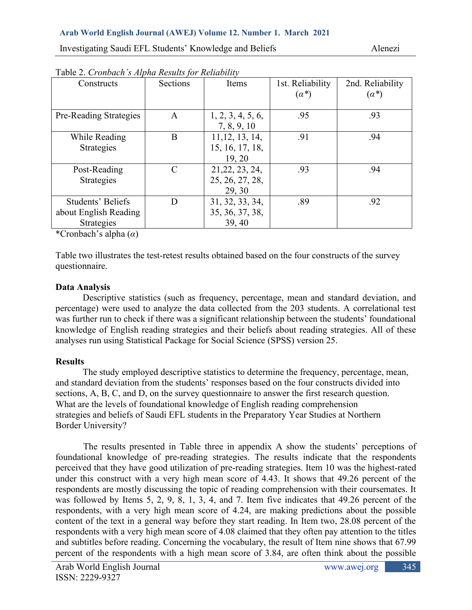| Table 2. Cronbach 3 Alpha Results for Retublity |                             |                   |                  |                  |
|-------------------------------------------------|-----------------------------|-------------------|------------------|------------------|
| Constructs                                      | Sections                    | Items             | 1st. Reliability | 2nd. Reliability |
|                                                 |                             |                   | $(\alpha^*)$     | $(\alpha^*)$     |
|                                                 |                             |                   |                  |                  |
| Pre-Reading Strategies                          | A                           | 1, 2, 3, 4, 5, 6, | .95              | .93              |
|                                                 |                             |                   |                  |                  |
|                                                 |                             | 7, 8, 9, 10       |                  |                  |
| While Reading                                   | B                           | 11, 12, 13, 14,   | .91              | .94              |
| Strategies                                      |                             | 15, 16, 17, 18,   |                  |                  |
|                                                 |                             | 19, 20            |                  |                  |
| Post-Reading                                    | $\mathcal{C}_{\mathcal{C}}$ | 21, 22, 23, 24,   | .93              | .94              |
| <b>Strategies</b>                               |                             | 25, 26, 27, 28,   |                  |                  |
|                                                 |                             | 29, 30            |                  |                  |
| Students' Beliefs                               | D                           | 31, 32, 33, 34,   | .89              | .92              |
| about English Reading                           |                             | 35, 36, 37, 38,   |                  |                  |
| <b>Strategies</b>                               |                             | 39, 40            |                  |                  |

Table 2. *Cronbach's Alpha Results for Reliability*

\*Cronbach's alpha (*α*)

Table two illustrates the test-retest results obtained based on the four constructs of the survey questionnaire.

# **Data Analysis**

Descriptive statistics (such as frequency, percentage, mean and standard deviation, and percentage) were used to analyze the data collected from the 203 students. A correlational test was further run to check if there was a significant relationship between the students' foundational knowledge of English reading strategies and their beliefs about reading strategies. All of these analyses run using Statistical Package for Social Science (SPSS) version 25.

# **Results**

The study employed descriptive statistics to determine the frequency, percentage, mean, and standard deviation from the students' responses based on the four constructs divided into sections, A, B, C, and D, on the survey questionnaire to answer the first research question. What are the levels of foundational knowledge of English reading comprehension strategies and beliefs of Saudi EFL students in the Preparatory Year Studies at Northern Border University?

 The results presented in Table three in appendix A show the students' perceptions of foundational knowledge of pre-reading strategies. The results indicate that the respondents perceived that they have good utilization of pre-reading strategies. Item 10 was the highest-rated under this construct with a very high mean score of 4.43. It shows that 49.26 percent of the respondents are mostly discussing the topic of reading comprehension with their coursemates. It was followed by Items 5, 2, 9, 8, 1, 3, 4, and 7. Item five indicates that 49.26 percent of the respondents, with a very high mean score of 4.24, are making predictions about the possible content of the text in a general way before they start reading. In Item two, 28.08 percent of the respondents with a very high mean score of 4.08 claimed that they often pay attention to the titles and subtitles before reading. Concerning the vocabulary, the result of Item nine shows that 67.99 percent of the respondents with a high mean score of 3.84, are often think about the possible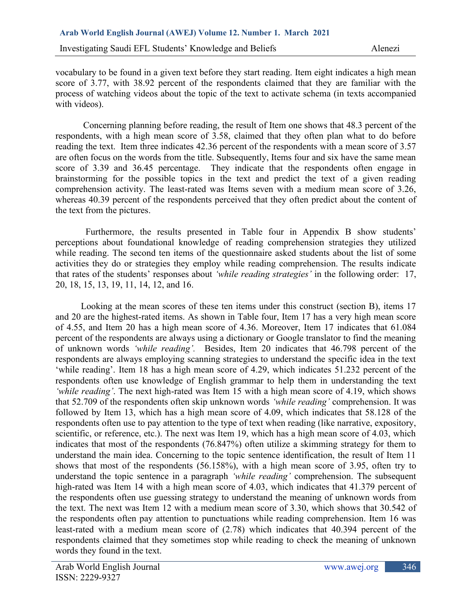vocabulary to be found in a given text before they start reading. Item eight indicates a high mean score of 3.77, with 38.92 percent of the respondents claimed that they are familiar with the process of watching videos about the topic of the text to activate schema (in texts accompanied with videos).

Concerning planning before reading, the result of Item one shows that 48.3 percent of the respondents, with a high mean score of 3.58, claimed that they often plan what to do before reading the text. Item three indicates 42.36 percent of the respondents with a mean score of 3.57 are often focus on the words from the title. Subsequently, Items four and six have the same mean score of 3.39 and 36.45 percentage. They indicate that the respondents often engage in brainstorming for the possible topics in the text and predict the text of a given reading comprehension activity. The least-rated was Items seven with a medium mean score of 3.26, whereas 40.39 percent of the respondents perceived that they often predict about the content of the text from the pictures.

 Furthermore, the results presented in Table four in Appendix B show students' perceptions about foundational knowledge of reading comprehension strategies they utilized while reading. The second ten items of the questionnaire asked students about the list of some activities they do or strategies they employ while reading comprehension. The results indicate that rates of the students' responses about *'while reading strategies'* in the following order: 17, 20, 18, 15, 13, 19, 11, 14, 12, and 16.

 Looking at the mean scores of these ten items under this construct (section B), items 17 and 20 are the highest-rated items. As shown in Table four, Item 17 has a very high mean score of 4.55, and Item 20 has a high mean score of 4.36. Moreover, Item 17 indicates that 61.084 percent of the respondents are always using a dictionary or Google translator to find the meaning of unknown words *'while reading'.* Besides, Item 20 indicates that 46.798 percent of the respondents are always employing scanning strategies to understand the specific idea in the text 'while reading'. Item 18 has a high mean score of 4.29, which indicates 51.232 percent of the respondents often use knowledge of English grammar to help them in understanding the text *'while reading'*. The next high-rated was Item 15 with a high mean score of 4.19, which shows that 52.709 of the respondents often skip unknown words *'while reading'* comprehension. It was followed by Item 13, which has a high mean score of 4.09, which indicates that 58.128 of the respondents often use to pay attention to the type of text when reading (like narrative, expository, scientific, or reference, etc.). The next was Item 19, which has a high mean score of 4.03, which indicates that most of the respondents (76.847%) often utilize a skimming strategy for them to understand the main idea. Concerning to the topic sentence identification, the result of Item 11 shows that most of the respondents (56.158%), with a high mean score of 3.95, often try to understand the topic sentence in a paragraph *'while reading'* comprehension. The subsequent high-rated was Item 14 with a high mean score of 4.03, which indicates that 41.379 percent of the respondents often use guessing strategy to understand the meaning of unknown words from the text. The next was Item 12 with a medium mean score of 3.30, which shows that 30.542 of the respondents often pay attention to punctuations while reading comprehension. Item 16 was least-rated with a medium mean score of (2.78) which indicates that 40.394 percent of the respondents claimed that they sometimes stop while reading to check the meaning of unknown words they found in the text.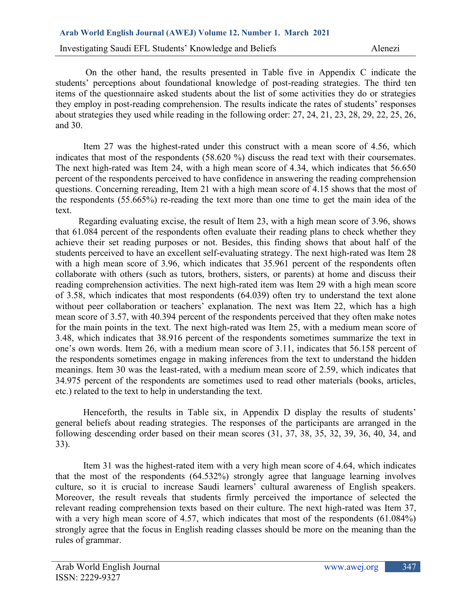On the other hand, the results presented in Table five in Appendix C indicate the students' perceptions about foundational knowledge of post-reading strategies. The third ten items of the questionnaire asked students about the list of some activities they do or strategies they employ in post-reading comprehension. The results indicate the rates of students' responses about strategies they used while reading in the following order: 27, 24, 21, 23, 28, 29, 22, 25, 26, and 30.

 Item 27 was the highest-rated under this construct with a mean score of 4.56, which indicates that most of the respondents (58.620 %) discuss the read text with their coursemates. The next high-rated was Item 24, with a high mean score of 4.34, which indicates that 56.650 percent of the respondents perceived to have confidence in answering the reading comprehension questions. Concerning rereading, Item 21 with a high mean score of 4.15 shows that the most of the respondents (55.665%) re-reading the text more than one time to get the main idea of the text.

 Regarding evaluating excise, the result of Item 23, with a high mean score of 3.96, shows that 61.084 percent of the respondents often evaluate their reading plans to check whether they achieve their set reading purposes or not. Besides, this finding shows that about half of the students perceived to have an excellent self-evaluating strategy. The next high-rated was Item 28 with a high mean score of 3.96, which indicates that 35.961 percent of the respondents often collaborate with others (such as tutors, brothers, sisters, or parents) at home and discuss their reading comprehension activities. The next high-rated item was Item 29 with a high mean score of 3.58, which indicates that most respondents (64.039) often try to understand the text alone without peer collaboration or teachers' explanation. The next was Item 22, which has a high mean score of 3.57, with 40.394 percent of the respondents perceived that they often make notes for the main points in the text. The next high-rated was Item 25, with a medium mean score of 3.48, which indicates that 38.916 percent of the respondents sometimes summarize the text in one's own words. Item 26, with a medium mean score of 3.11, indicates that 56.158 percent of the respondents sometimes engage in making inferences from the text to understand the hidden meanings. Item 30 was the least-rated, with a medium mean score of 2.59, which indicates that 34.975 percent of the respondents are sometimes used to read other materials (books, articles, etc.) related to the text to help in understanding the text.

Henceforth, the results in Table six, in Appendix D display the results of students' general beliefs about reading strategies. The responses of the participants are arranged in the following descending order based on their mean scores (31, 37, 38, 35, 32, 39, 36, 40, 34, and 33).

Item 31 was the highest-rated item with a very high mean score of 4.64, which indicates that the most of the respondents (64.532%) strongly agree that language learning involves culture, so it is crucial to increase Saudi learners' cultural awareness of English speakers. Moreover, the result reveals that students firmly perceived the importance of selected the relevant reading comprehension texts based on their culture. The next high-rated was Item 37, with a very high mean score of 4.57, which indicates that most of the respondents (61.084%) strongly agree that the focus in English reading classes should be more on the meaning than the rules of grammar.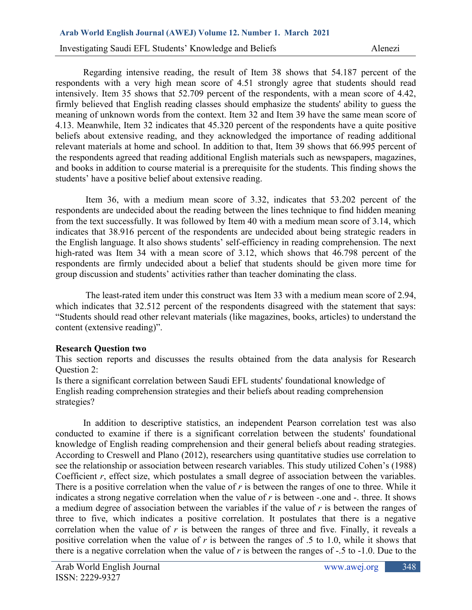Regarding intensive reading, the result of Item 38 shows that 54.187 percent of the respondents with a very high mean score of 4.51 strongly agree that students should read intensively. Item 35 shows that 52.709 percent of the respondents, with a mean score of 4.42, firmly believed that English reading classes should emphasize the students' ability to guess the meaning of unknown words from the context. Item 32 and Item 39 have the same mean score of 4.13. Meanwhile, Item 32 indicates that 45.320 percent of the respondents have a quite positive beliefs about extensive reading, and they acknowledged the importance of reading additional relevant materials at home and school. In addition to that, Item 39 shows that 66.995 percent of the respondents agreed that reading additional English materials such as newspapers, magazines, and books in addition to course material is a prerequisite for the students. This finding shows the students' have a positive belief about extensive reading.

 Item 36, with a medium mean score of 3.32, indicates that 53.202 percent of the respondents are undecided about the reading between the lines technique to find hidden meaning from the text successfully. It was followed by Item 40 with a medium mean score of 3.14, which indicates that 38.916 percent of the respondents are undecided about being strategic readers in the English language. It also shows students' self-efficiency in reading comprehension. The next high-rated was Item 34 with a mean score of 3.12, which shows that 46.798 percent of the respondents are firmly undecided about a belief that students should be given more time for group discussion and students' activities rather than teacher dominating the class.

 The least-rated item under this construct was Item 33 with a medium mean score of 2.94, which indicates that 32.512 percent of the respondents disagreed with the statement that says: "Students should read other relevant materials (like magazines, books, articles) to understand the content (extensive reading)".

### **Research Question two**

This section reports and discusses the results obtained from the data analysis for Research Question 2:

Is there a significant correlation between Saudi EFL students' foundational knowledge of English reading comprehension strategies and their beliefs about reading comprehension strategies?

In addition to descriptive statistics, an independent Pearson correlation test was also conducted to examine if there is a significant correlation between the students' foundational knowledge of English reading comprehension and their general beliefs about reading strategies. According to Creswell and Plano (2012), researchers using quantitative studies use correlation to see the relationship or association between research variables. This study utilized Cohen's (1988) Coefficient *r*, effect size, which postulates a small degree of association between the variables. There is a positive correlation when the value of *r* is between the ranges of one to three. While it indicates a strong negative correlation when the value of *r* is between -.one and -. three. It shows a medium degree of association between the variables if the value of *r* is between the ranges of three to five, which indicates a positive correlation. It postulates that there is a negative correlation when the value of *r* is between the ranges of three and five. Finally, it reveals a positive correlation when the value of *r* is between the ranges of .5 to 1.0, while it shows that there is a negative correlation when the value of *r* is between the ranges of -.5 to -1.0. Due to the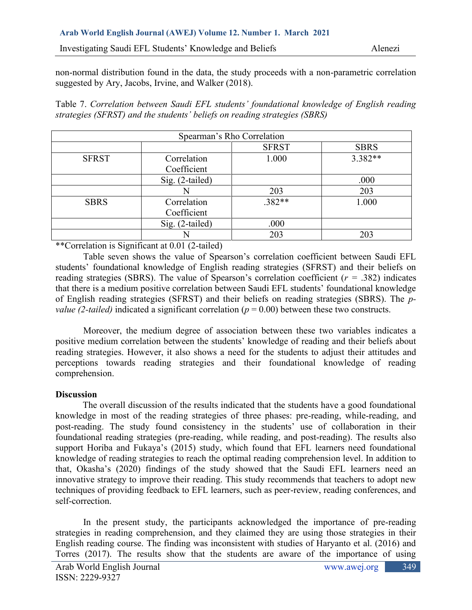Investigating Saudi EFL Students' Knowledge and Beliefs Alenezi

non-normal distribution found in the data, the study proceeds with a non-parametric correlation suggested by Ary, Jacobs, Irvine, and Walker (2018).

Table 7. *Correlation between Saudi EFL students' foundational knowledge of English reading strategies (SFRST) and the students' beliefs on reading strategies (SBRS)*

|              |                            | Spearman's Rho Correlation |             |
|--------------|----------------------------|----------------------------|-------------|
|              |                            | <b>SFRST</b>               | <b>SBRS</b> |
| <b>SFRST</b> | Correlation<br>Coefficient | 1.000                      | $3.382**$   |
|              | Sig. (2-tailed)            |                            | .000        |
|              |                            | 203                        | 203         |
| <b>SBRS</b>  | Correlation<br>Coefficient | .382**                     | 1.000       |
|              | Sig. (2-tailed)            | .000                       |             |
|              |                            | 203                        | 203         |

\*\*Correlation is Significant at 0.01 (2-tailed)

Table seven shows the value of Spearson's correlation coefficient between Saudi EFL students' foundational knowledge of English reading strategies (SFRST) and their beliefs on reading strategies (SBRS). The value of Spearson's correlation coefficient (*r =* .382) indicates that there is a medium positive correlation between Saudi EFL students' foundational knowledge of English reading strategies (SFRST) and their beliefs on reading strategies (SBRS). The *pvalue (2-tailed)* indicated a significant correlation ( $p = 0.00$ ) between these two constructs.

Moreover, the medium degree of association between these two variables indicates a positive medium correlation between the students' knowledge of reading and their beliefs about reading strategies. However, it also shows a need for the students to adjust their attitudes and perceptions towards reading strategies and their foundational knowledge of reading comprehension.

## **Discussion**

The overall discussion of the results indicated that the students have a good foundational knowledge in most of the reading strategies of three phases: pre-reading, while-reading, and post-reading. The study found consistency in the students' use of collaboration in their foundational reading strategies (pre-reading, while reading, and post-reading). The results also support Horiba and Fukaya's (2015) study, which found that EFL learners need foundational knowledge of reading strategies to reach the optimal reading comprehension level. In addition to that, Okasha's (2020) findings of the study showed that the Saudi EFL learners need an innovative strategy to improve their reading. This study recommends that teachers to adopt new techniques of providing feedback to EFL learners, such as peer-review, reading conferences, and self-correction.

In the present study, the participants acknowledged the importance of pre-reading strategies in reading comprehension, and they claimed they are using those strategies in their English reading course. The finding was inconsistent with studies of Haryanto et al. (2016) and Torres (2017). The results show that the students are aware of the importance of using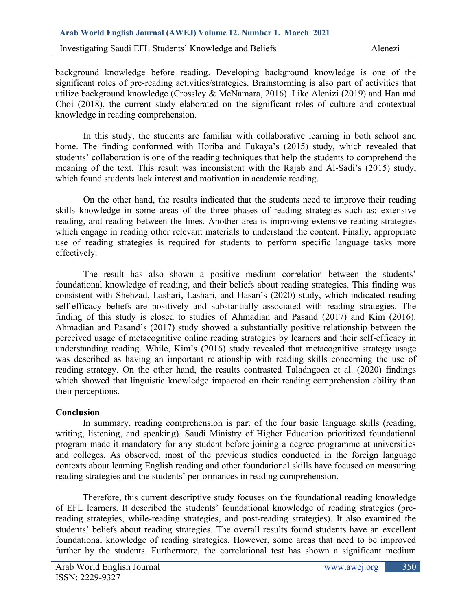background knowledge before reading. Developing background knowledge is one of the significant roles of pre-reading activities/strategies. Brainstorming is also part of activities that utilize background knowledge (Crossley & McNamara, 2016). Like Alenizi (2019) and Han and Choi (2018), the current study elaborated on the significant roles of culture and contextual knowledge in reading comprehension.

In this study, the students are familiar with collaborative learning in both school and home. The finding conformed with Horiba and Fukaya's (2015) study, which revealed that students' collaboration is one of the reading techniques that help the students to comprehend the meaning of the text. This result was inconsistent with the Rajab and Al-Sadi's (2015) study, which found students lack interest and motivation in academic reading.

On the other hand, the results indicated that the students need to improve their reading skills knowledge in some areas of the three phases of reading strategies such as: extensive reading, and reading between the lines. Another area is improving extensive reading strategies which engage in reading other relevant materials to understand the content. Finally, appropriate use of reading strategies is required for students to perform specific language tasks more effectively.

The result has also shown a positive medium correlation between the students' foundational knowledge of reading, and their beliefs about reading strategies. This finding was consistent with Shehzad, Lashari, Lashari, and Hasan's (2020) study, which indicated reading self-efficacy beliefs are positively and substantially associated with reading strategies. The finding of this study is closed to studies of Ahmadian and Pasand (2017) and Kim (2016). Ahmadian and Pasand's (2017) study showed a substantially positive relationship between the perceived usage of metacognitive online reading strategies by learners and their self-efficacy in understanding reading. While, Kim's (2016) study revealed that metacognitive strategy usage was described as having an important relationship with reading skills concerning the use of reading strategy. On the other hand, the results contrasted Taladngoen et al. (2020) findings which showed that linguistic knowledge impacted on their reading comprehension ability than their perceptions.

### **Conclusion**

In summary, reading comprehension is part of the four basic language skills (reading, writing, listening, and speaking). Saudi Ministry of Higher Education prioritized foundational program made it mandatory for any student before joining a degree programme at universities and colleges. As observed, most of the previous studies conducted in the foreign language contexts about learning English reading and other foundational skills have focused on measuring reading strategies and the students' performances in reading comprehension.

Therefore, this current descriptive study focuses on the foundational reading knowledge of EFL learners. It described the students' foundational knowledge of reading strategies (prereading strategies, while-reading strategies, and post-reading strategies). It also examined the students' beliefs about reading strategies. The overall results found students have an excellent foundational knowledge of reading strategies. However, some areas that need to be improved further by the students. Furthermore, the correlational test has shown a significant medium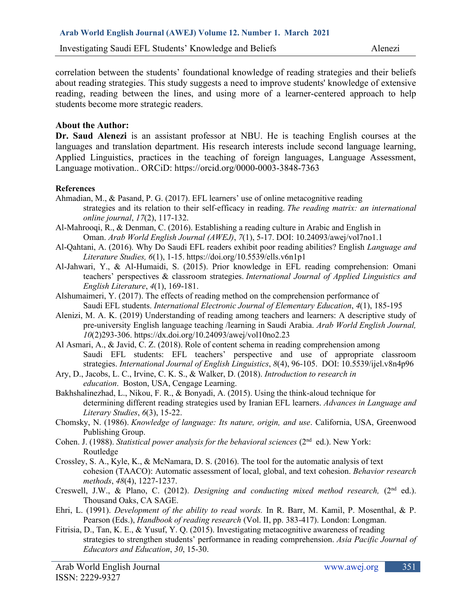correlation between the students' foundational knowledge of reading strategies and their beliefs about reading strategies. This study suggests a need to improve students' knowledge of extensive reading, reading between the lines, and using more of a learner-centered approach to help students become more strategic readers.

### **About the Author:**

**Dr. Saud Alenezi** is an assistant professor at NBU. He is teaching English courses at the languages and translation department. His research interests include second language learning, Applied Linguistics, practices in the teaching of foreign languages, Language Assessment, Language motivation.. ORCiD:<https://orcid.org/0000-0003-3848-7363>

#### **References**

- Ahmadian, M., & Pasand, P. G. (2017). EFL learners' use of online metacognitive reading strategies and its relation to their self-efficacy in reading. *The reading matrix: an international online journal*, *17*(2), 117-132.
- Al-Mahrooqi, R., & Denman, C. (2016). Establishing a reading culture in Arabic and English in Oman. *Arab World English Journal (AWEJ)*, *7*(1), 5-17. DOI: 10.24093/awej/vol7no1.1
- Al-Qahtani, A. (2016). Why Do Saudi EFL readers exhibit poor reading abilities? English *Language and Literature Studies, 6*(1), 1-15.<https://doi.org/10.5539/ells.v6n1p1>
- Al-Jahwari, Y., & Al-Humaidi, S. (2015). Prior knowledge in EFL reading comprehension: Omani teachers' perspectives & classroom strategies. *International Journal of Applied Linguistics and English Literature*, *4*(1), 169-181.
- Alshumaimeri, Y. (2017). The effects of reading method on the comprehension performance of Saudi EFL students. *International Electronic Journal of Elementary Education*, *4*(1), 185-195
- Alenizi, M. A. K. (2019) Understanding of reading among teachers and learners: A descriptive study of pre-university English language teaching /learning in Saudi Arabia. *Arab World English Journal, 10*(2)293-306. https://dx.doi.org/10.24093/awej/vol10no2.23
- Al Asmari, A., & Javid, C. Z. (2018). Role of content schema in reading comprehension among Saudi EFL students: EFL teachers' perspective and use of appropriate classroom strategies. *International Journal of English Linguistics*, *8*(4), 96-105. DOI: [10.5539/ijel.v8n4p96](https://www.researchgate.net/deref/http%3A%2F%2Fdx.doi.org%2F10.5539%2Fijel.v8n4p96?_sg%5B0%5D=fNxZsENPTvaMXsSCzUjoQugFdQSG6v3GkDsCSrHZBRCEs2UM6QXFxIAo4IJ1i48aMI4m4bagj1tQsiQvQnnpsVs3KQ.nlPRBOKj654KV9syvwkbUD_shvHpkG3GlnusUFDEyz8bExDtV7yhkfoR0bxMmtNi9fV9i2akMB_nf3yQSuZVzQ)
- Ary, D., Jacobs, L. C., Irvine, C. K. S., & Walker, D. (2018). *Introduction to research in education*. Boston, USA, Cengage Learning.
- Bakhshalinezhad, L., Nikou, F. R., & Bonyadi, A. (2015). Using the think-aloud technique for determining different reading strategies used by Iranian EFL learners. *Advances in Language and Literary Studies*, *6*(3), 15-22.
- Chomsky, N. (1986). *Knowledge of language: Its nature, origin, and use*. California, USA, Greenwood Publishing Group.
- Cohen. J. (1988). *Statistical power analysis for the behavioral sciences* (2<sup>nd</sup> ed.). New York: Routledge
- Crossley, S. A., Kyle, K., & McNamara, D. S. (2016). The tool for the automatic analysis of text cohesion (TAACO): Automatic assessment of local, global, and text cohesion. *Behavior research methods*, *48*(4), 1227-1237.
- Creswell, J.W., & Plano, C. (2012). *Designing and conducting mixed method research*, (2<sup>nd</sup> ed.). Thousand Oaks, CA SAGE.
- Ehri, L. (1991). *Development of the ability to read words.* In R. Barr, M. Kamil, P. Mosenthal, & P. Pearson (Eds.), *Handbook of reading research* (Vol. II, pp. 383-417). London: Longman.
- Fitrisia, D., Tan, K. E., & Yusuf, Y. Q. (2015). Investigating metacognitive awareness of reading strategies to strengthen students' performance in reading comprehension. *Asia Pacific Journal of Educators and Education*, *30*, 15-30.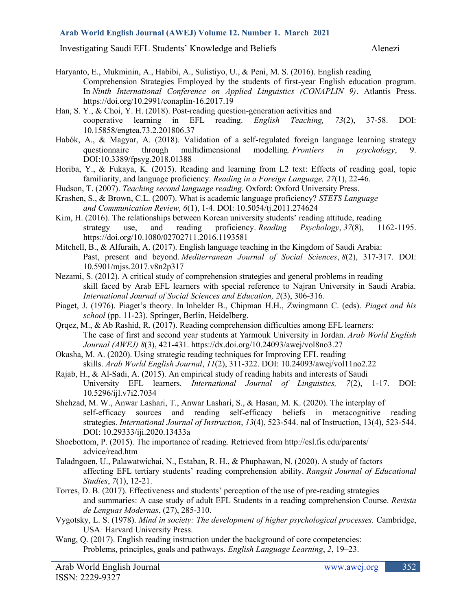Investigating Saudi EFL Students' Knowledge and Beliefs Alenezi

- Haryanto, E., Mukminin, A., Habibi, A., Sulistiyo, U., & Peni, M. S. (2016). English reading Comprehension Strategies Employed by the students of first-year English education program. In *Ninth International Conference on Applied Linguistics (CONAPLIN 9)*. Atlantis Press. https://doi.org/10.2991/conaplin-16.2017.19
- Han, S. Y., & Choi, Y. H. (2018). Post-reading question-generation activities and cooperative learning in EFL reading. *English Teaching, 73*(2), 37-58. DOI: 10.15858/engtea.73.2.201806.37
- Habók, A., & Magyar, A. (2018). Validation of a self-regulated foreign language learning strategy questionnaire through multidimensional modelling. *Frontiers in psychology*, 9. DOI:10.3389/fpsyg.2018.01388
- Horiba, Y., & Fukaya, K. (2015). Reading and learning from L2 text: Effects of reading goal, topic familiarity, and language proficiency. *Reading in a Foreign Language, 27*(1), 22-46.
- Hudson, T. (2007). *Teaching second language reading*. Oxford: Oxford University Press.
- Krashen, S., & Brown, C.L. (2007). What is academic language proficiency? *STETS Language and Communication Review, 6*(1), 1-4. DOI: [10.5054/tj.2011.274624](https://www.researchgate.net/deref/http%3A%2F%2Fdx.doi.org%2F10.5054%2Ftj.2011.274624?_sg%5B0%5D=dxu6d6cFsvcry9xHVV-PIl6-kSrZR4YAQrMEeCuco0pZzj5aSSgcwDAd-Uxz0K3d3uLxXE4sNVV2wg2NqwepmjQqlA.CVT6zBGUu6OFY42BiN3UEqBVL-VLBlVdMPumU0TiH1aDyi8xiOKWe3mFaSQ-ZCxiy9NVBLDa452YJ5KITBxsig)
- Kim, H. (2016). The relationships between Korean university students' reading attitude, reading strategy use, and reading proficiency. *Reading Psychology*, *37*(8), 1162-1195. <https://doi.org/10.1080/02702711.2016.1193581>
- Mitchell, B., & Alfuraih, A. (2017). English language teaching in the Kingdom of Saudi Arabia: Past, present and beyond. *Mediterranean Journal of Social Sciences*, *8*(2), 317-317. DOI: [10.5901/mjss.2017.v8n2p317](https://www.researchgate.net/deref/http%3A%2F%2Fdx.doi.org%2F10.5901%2Fmjss.2017.v8n2p317?_sg%5B0%5D=M2SekUbwcf_9pnbPtJwE76WlwfRo8mAFrkoYJnZw12gXl5-Iy_xnbUyxyNEp0bb2X7fWmkpH3xqIzXC0MPV38KENPw.PSKETpaArbypW4Spf4ZpGLxh1dvTstAb3yQJ6iBl9Fp-fDzih2F6gloOgHRw92D9B2oZcgNCtjKdOXLvbGBfnA)
- Nezami, S. (2012). A critical study of comprehension strategies and general problems in reading skill faced by Arab EFL learners with special reference to Najran University in Saudi Arabia. *International Journal of Social Sciences and Education, 2*(3), 306-316.
- Piaget, J. (1976). Piaget's theory. In Inhelder B., Chipman H.H., Zwingmann C. (eds). *Piaget and his school* (pp. 11-23). Springer, Berlin, Heidelberg.
- Qrqez, M., & Ab Rashid, R. (2017). Reading comprehension difficulties among EFL learners: The case of first and second year students at Yarmouk University in Jordan. *Arab World English Journal (AWEJ) 8*(3), 421-431.<https://dx.doi.org/10.24093/awej/vol8no3.27>
- Okasha, M. A. (2020). Using strategic reading techniques for Improving EFL reading skills. *Arab World English Journal*, *11*(2), 311-322. DOI: 10.24093/awej/vol11no2.22
- Rajab, H., & Al-Sadi, A. (2015). An empirical study of reading habits and interests of Saudi University EFL learners. *International Journal of Linguistics, 7*(2), 1-17. DOI: [10.5296/ijl.v7i2.7034](https://www.researchgate.net/deref/http%3A%2F%2Fdx.doi.org%2F10.5296%2Fijl.v7i2.7034?_sg%5B0%5D=qQ3Eky8SfRnBFnb2olk656RWsRzrCqeLuxonzn6ZMQJ_tLtZsn8p747n_JsOmX5b6aglu6orAl9VMajyZ2vUtvAY6A.7oIn1XhJmLWGkors4GPyBq2i-KaNRM9BQdeSMos4r5IGnH3hNz6L1eQqoBJQ_IF4TRtsUo3bGUldpDFpBW3Szw)
- Shehzad, M. W., Anwar Lashari, T., Anwar Lashari, S., & Hasan, M. K. (2020). The interplay of self-efficacy sources and reading self-efficacy beliefs in metacognitive reading strategies. *International Journal of Instruction*, *13*(4), 523-544. nal of Instruction, 13(4), 523-544. DOI: 10.29333/iji.2020.13433a
- Shoebottom, P. (2015). The importance of reading. Retrieved from<http://esl.fis.edu/parents/> advice/read.htm
- Taladngoen, U., Palawatwichai, N., Estaban, R. H., & Phuphawan, N. (2020). A study of factors affecting EFL tertiary students' reading comprehension ability. *Rangsit Journal of Educational Studies*, *7*(1), 12-21.
- Torres, D. B. (2017). Effectiveness and students' perception of the use of pre-reading strategies and summaries: A case study of adult EFL Students in a reading comprehension Course. *Revista de Lenguas Modernas*, (27), 285-310.
- Vygotsky, L. S. (1978). *Mind in society: The development of higher psychological processes.* Cambridge, USA*:* Harvard University Press.
- Wang, Q. (2017). English reading instruction under the background of core competencies: Problems, principles, goals and pathways. *English Language Learning*, *2*, 19–23.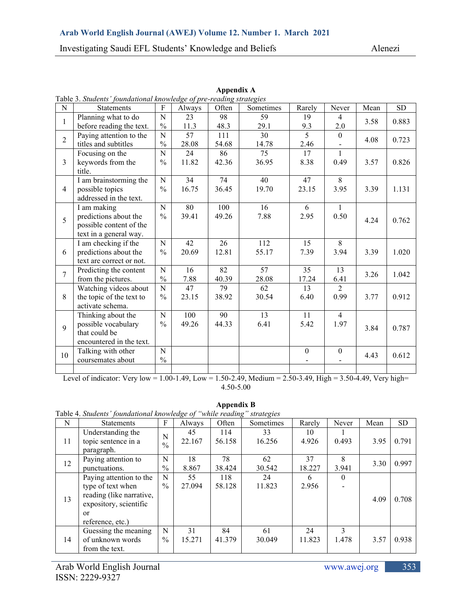|                | Table 5. Students Toundational knowledge of pre-reading strategies |               |        |       |           |                  |                  |      |           |
|----------------|--------------------------------------------------------------------|---------------|--------|-------|-----------|------------------|------------------|------|-----------|
| N              | <b>Statements</b>                                                  | $\mathbf{F}$  | Always | Often | Sometimes | Rarely           | Never            | Mean | <b>SD</b> |
| $\mathbf{1}$   | Planning what to do                                                | ${\bf N}$     | 23     | 98    | 59        | 19               | $\overline{4}$   | 3.58 | 0.883     |
|                | before reading the text.                                           | $\frac{0}{0}$ | 11.3   | 48.3  | 29.1      | 9.3              | 2.0              |      |           |
| $\overline{2}$ | Paying attention to the                                            | N             | 57     | 111   | 30        | $\overline{5}$   | $\theta$         | 4.08 | 0.723     |
|                | titles and subtitles                                               | $\frac{0}{0}$ | 28.08  | 54.68 | 14.78     | 2.46             |                  |      |           |
|                | Focusing on the                                                    | N             | 24     | 86    | 75        | 17               | $\mathbf{1}$     |      |           |
| $\overline{3}$ | keywords from the                                                  | $\frac{0}{0}$ | 11.82  | 42.36 | 36.95     | 8.38             | 0.49             | 3.57 | 0.826     |
|                | title.                                                             |               |        |       |           |                  |                  |      |           |
|                | I am brainstorming the                                             | N             | 34     | 74    | 40        | 47               | 8                |      |           |
| $\overline{4}$ | possible topics                                                    | $\frac{0}{0}$ | 16.75  | 36.45 | 19.70     | 23.15            | 3.95             | 3.39 | 1.131     |
|                | addressed in the text.                                             |               |        |       |           |                  |                  |      |           |
|                | I am making                                                        | N             | 80     | 100   | 16        | 6                | $\mathbf{1}$     |      |           |
| 5              | predictions about the                                              | $\frac{0}{0}$ | 39.41  | 49.26 | 7.88      | 2.95             | 0.50             | 4.24 | 0.762     |
|                | possible content of the                                            |               |        |       |           |                  |                  |      |           |
|                | text in a general way.                                             |               |        |       |           |                  |                  |      |           |
|                | I am checking if the                                               | ${\bf N}$     | 42     | 26    | 112       | 15               | 8                |      |           |
| 6              | predictions about the                                              | $\frac{0}{0}$ | 20.69  | 12.81 | 55.17     | 7.39             | 3.94             | 3.39 | 1.020     |
|                | text are correct or not.                                           |               |        |       |           |                  |                  |      |           |
|                | Predicting the content                                             | ${\bf N}$     | 16     | 82    | 57        | 35               | 13               |      |           |
| $\overline{7}$ | from the pictures.                                                 | $\frac{0}{0}$ | 7.88   | 40.39 | 28.08     | 17.24            | 6.41             | 3.26 | 1.042     |
|                | Watching videos about                                              | N             | 47     | 79    | 62        | 13               | 2                |      |           |
| 8              | the topic of the text to                                           | $\frac{0}{0}$ | 23.15  | 38.92 | 30.54     | 6.40             | 0.99             | 3.77 | 0.912     |
|                | activate schema.                                                   |               |        |       |           |                  |                  |      |           |
|                | Thinking about the                                                 | ${\bf N}$     | 100    | 90    | 13        | 11               | $\overline{4}$   |      |           |
|                | possible vocabulary                                                | $\frac{0}{0}$ | 49.26  | 44.33 | 6.41      | 5.42             | 1.97             |      |           |
| 9              | that could be                                                      |               |        |       |           |                  |                  | 3.84 | 0.787     |
|                | encountered in the text.                                           |               |        |       |           |                  |                  |      |           |
|                | Talking with other                                                 | N             |        |       |           | $\boldsymbol{0}$ | $\boldsymbol{0}$ |      |           |
| 10             | coursemates about                                                  | $\%$          |        |       |           |                  |                  | 4.43 | 0.612     |
|                |                                                                    |               |        |       |           |                  |                  |      |           |

**Appendix A** Table 3. *Students' foundational knowledge of pre-reading strategies*

Level of indicator: Very low = 1.00-1.49, Low = 1.50-2.49, Medium = 2.50-3.49, High = 3.50-4.49, Very high= 4.50-5.00

**Appendix B**

| N  | <b>Statements</b>                                                                                                                  | F                  | Always       | Often         | Sometimes    | Rarely       | Never      | Mean | <b>SD</b> |
|----|------------------------------------------------------------------------------------------------------------------------------------|--------------------|--------------|---------------|--------------|--------------|------------|------|-----------|
| 11 | Understanding the<br>topic sentence in a<br>paragraph.                                                                             | N<br>$\frac{0}{0}$ | 45<br>22.167 | 114<br>56.158 | 33<br>16.256 | 10<br>4.926  | 0.493      | 3.95 | 0.791     |
| 12 | Paying attention to<br>punctuations.                                                                                               | N<br>$\frac{0}{0}$ | 18<br>8.867  | 78<br>38.424  | 62<br>30.542 | 37<br>18.227 | 8<br>3.941 | 3.30 | 0.997     |
| 13 | Paying attention to the<br>type of text when<br>reading (like narrative,<br>expository, scientific<br>$\alpha$<br>reference, etc.) | N<br>$\%$          | 55<br>27.094 | 118<br>58.128 | 24<br>11.823 | 6<br>2.956   | $\theta$   | 4.09 | 0.708     |
| 14 | Guessing the meaning<br>of unknown words<br>from the text.                                                                         | N<br>$\frac{0}{0}$ | 31<br>15.271 | 84<br>41.379  | 61<br>30.049 | 24<br>11.823 | 3<br>1.478 | 3.57 | 0.938     |

Table 4. *Students' foundational knowledge of "while reading" strategies*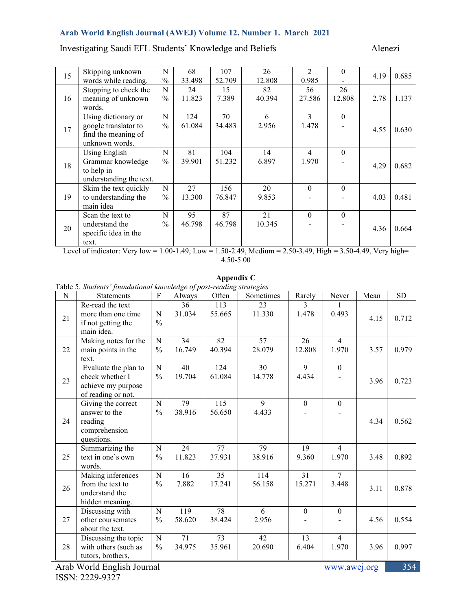Investigating Saudi EFL Students' Knowledge and Beliefs Alenezi

| 15 | Skipping unknown<br>words while reading.                                             | N<br>$\frac{0}{0}$ | 68<br>33.498  | 107<br>52.709 | 26<br>12.808 | $\overline{2}$<br>0.985 | $\Omega$     | 4.19 | 0.685 |
|----|--------------------------------------------------------------------------------------|--------------------|---------------|---------------|--------------|-------------------------|--------------|------|-------|
| 16 | Stopping to check the<br>meaning of unknown<br>words.                                | N<br>$\frac{0}{0}$ | 24<br>11.823  | 15<br>7.389   | 82<br>40.394 | 56<br>27.586            | 26<br>12.808 | 2.78 | 1.137 |
| 17 | Using dictionary or<br>google translator to<br>find the meaning of<br>unknown words. | N<br>$\frac{0}{0}$ | 124<br>61.084 | 70<br>34.483  | 6<br>2.956   | 3<br>1.478              | $\theta$     | 4.55 | 0.630 |
| 18 | Using English<br>Grammar knowledge<br>to help in<br>understanding the text.          | N<br>$\frac{0}{0}$ | 81<br>39.901  | 104<br>51.232 | 14<br>6.897  | $\overline{4}$<br>1.970 | $\theta$     | 4.29 | 0.682 |
| 19 | Skim the text quickly<br>to understanding the<br>main idea                           | N<br>$\frac{0}{0}$ | 27<br>13.300  | 156<br>76.847 | 20<br>9.853  | $\theta$                | $\theta$     | 4.03 | 0.481 |
| 20 | Scan the text to<br>understand the<br>specific idea in the<br>text.                  | N<br>$\frac{0}{0}$ | 95<br>46.798  | 87<br>46.798  | 21<br>10.345 | $\theta$                | $\theta$     | 4.36 | 0.664 |

Level of indicator: Very low = 1.00-1.49, Low = 1.50-2.49, Medium = 2.50-3.49, High = 3.50-4.49, Very high= 4.50-5.00

**Appendix C**

| Table 5. Students' foundational knowledge of post-reading strategies |  |  |
|----------------------------------------------------------------------|--|--|

| N  | Table 5. Students Toundational knowledge of post-redding strategies<br>Statements   | $\boldsymbol{F}$             | Always        | Often         | Sometimes     | Rarely                  | Never                   | Mean | <b>SD</b> |
|----|-------------------------------------------------------------------------------------|------------------------------|---------------|---------------|---------------|-------------------------|-------------------------|------|-----------|
| 21 | Re-read the text<br>more than one time<br>if not getting the<br>main idea.          | N<br>$\frac{0}{0}$           | 36<br>31.034  | 113<br>55.665 | 23<br>11.330  | $\mathcal{E}$<br>1.478  | 0.493                   | 4.15 | 0.712     |
| 22 | Making notes for the<br>main points in the<br>text.                                 | $\mathbf N$<br>$\frac{0}{0}$ | 34<br>16.749  | 82<br>40.394  | 57<br>28.079  | 26<br>12.808            | $\overline{4}$<br>1.970 | 3.57 | 0.979     |
| 23 | Evaluate the plan to<br>check whether I<br>achieve my purpose<br>of reading or not. | $\mathbf N$<br>$\frac{0}{0}$ | 40<br>19.704  | 124<br>61.084 | 30<br>14.778  | $\overline{9}$<br>4.434 | $\mathbf{0}$            | 3.96 | 0.723     |
| 24 | Giving the correct<br>answer to the<br>reading<br>comprehension<br>questions.       | N<br>$\frac{0}{0}$           | 79<br>38.916  | 115<br>56.650 | 9<br>4.433    | $\boldsymbol{0}$        | $\theta$                | 4.34 | 0.562     |
| 25 | Summarizing the<br>text in one's own<br>words.                                      | N<br>$\frac{0}{0}$           | 24<br>11.823  | 77<br>37.931  | 79<br>38.916  | 19<br>9.360             | $\overline{4}$<br>1.970 | 3.48 | 0.892     |
| 26 | Making inferences<br>from the text to<br>understand the<br>hidden meaning.          | $\mathbf N$<br>$\frac{0}{0}$ | 16<br>7.882   | 35<br>17.241  | 114<br>56.158 | 31<br>15.271            | $\overline{7}$<br>3.448 | 3.11 | 0.878     |
| 27 | Discussing with<br>other coursemates<br>about the text.                             | N<br>$\frac{0}{0}$           | 119<br>58.620 | 78<br>38.424  | 6<br>2.956    | $\mathbf{0}$            | $\mathbf{0}$            | 4.56 | 0.554     |
| 28 | Discussing the topic<br>with others (such as<br>tutors, brothers,                   | N<br>$\frac{0}{0}$           | 71<br>34.975  | 73<br>35.961  | 42<br>20.690  | 13<br>6.404             | $\overline{4}$<br>1.970 | 3.96 | 0.997     |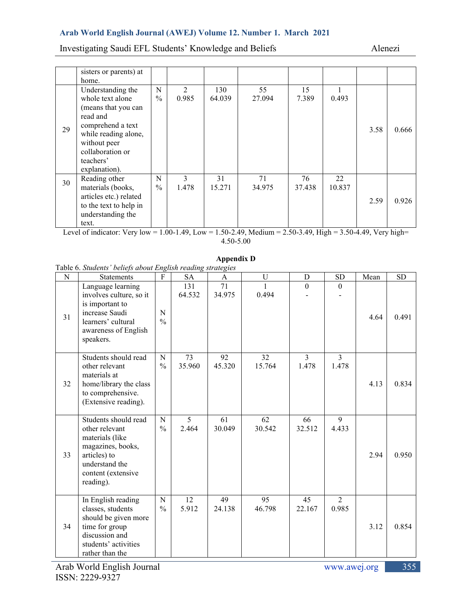# Investigating Saudi EFL Students' Knowledge and Beliefs Alenezi

|    | sisters or parents) at |               |                |        |        |        |        |      |       |
|----|------------------------|---------------|----------------|--------|--------|--------|--------|------|-------|
|    | home.                  |               |                |        |        |        |        |      |       |
|    | Understanding the      | N             | $\overline{2}$ | 130    | 55     | 15     |        |      |       |
|    | whole text alone       | $\frac{0}{0}$ | 0.985          | 64.039 | 27.094 | 7.389  | 0.493  |      |       |
|    | (means that you can    |               |                |        |        |        |        |      |       |
|    | read and               |               |                |        |        |        |        |      |       |
| 29 | comprehend a text      |               |                |        |        |        |        | 3.58 | 0.666 |
|    | while reading alone,   |               |                |        |        |        |        |      |       |
|    | without peer           |               |                |        |        |        |        |      |       |
|    | collaboration or       |               |                |        |        |        |        |      |       |
|    | teachers'              |               |                |        |        |        |        |      |       |
|    | explanation).          |               |                |        |        |        |        |      |       |
| 30 | Reading other          | N             | $\mathbf{3}$   | 31     | 71     | 76     | 22     |      |       |
|    | materials (books,      | $\frac{0}{0}$ | 1.478          | 15.271 | 34.975 | 37.438 | 10.837 |      |       |
|    | articles etc.) related |               |                |        |        |        |        | 2.59 | 0.926 |
|    | to the text to help in |               |                |        |        |        |        |      |       |
|    | understanding the      |               |                |        |        |        |        |      |       |
|    | text.                  |               |                |        |        |        |        |      |       |

Level of indicator: Very low = 1.00-1.49, Low = 1.50-2.49, Medium = 2.50-3.49, High = 3.50-4.49, Very high= 4.50-5.00

#### **Appendix D**

Table 6. *Students' beliefs about English reading strategies*

| N  | Table 6. Bludents <i>beliefs about English Fedding strategies</i><br><b>Statements</b>                                                              | F                            | <b>SA</b>               | A            | U            | D                       | <b>SD</b>               | Mean | <b>SD</b> |
|----|-----------------------------------------------------------------------------------------------------------------------------------------------------|------------------------------|-------------------------|--------------|--------------|-------------------------|-------------------------|------|-----------|
| 31 | Language learning<br>involves culture, so it<br>is important to<br>increase Saudi<br>learners' cultural<br>awareness of English<br>speakers.        | $\mathbf N$<br>$\frac{0}{0}$ | 131<br>64.532           | 71<br>34.975 | 1<br>0.494   | $\mathbf{0}$            | $\theta$                | 4.64 | 0.491     |
| 32 | Students should read<br>other relevant<br>materials at<br>home/library the class<br>to comprehensive.<br>(Extensive reading).                       | $\mathbf N$<br>$\frac{0}{0}$ | 73<br>35.960            | 92<br>45.320 | 32<br>15.764 | $\overline{3}$<br>1.478 | $\overline{3}$<br>1.478 | 4.13 | 0.834     |
| 33 | Students should read<br>other relevant<br>materials (like<br>magazines, books,<br>articles) to<br>understand the<br>content (extensive<br>reading). | $\mathbf N$<br>$\frac{0}{0}$ | $\mathfrak{S}$<br>2.464 | 61<br>30.049 | 62<br>30.542 | 66<br>32.512            | 9<br>4.433              | 2.94 | 0.950     |
| 34 | In English reading<br>classes, students<br>should be given more<br>time for group<br>discussion and<br>students' activities<br>rather than the      | $\mathbf N$<br>$\frac{0}{0}$ | 12<br>5.912             | 49<br>24.138 | 95<br>46.798 | 45<br>22.167            | $\overline{2}$<br>0.985 | 3.12 | 0.854     |